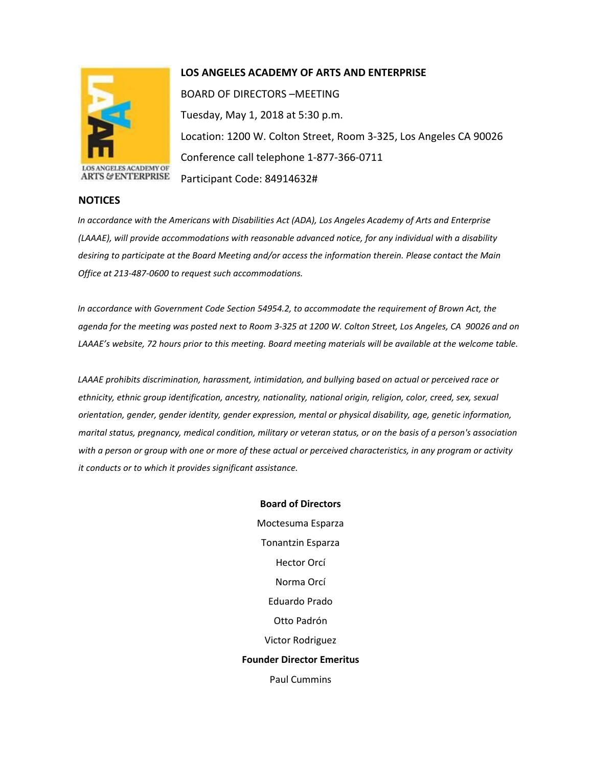

**NOTICES**

## **LOS ANGELES ACADEMY OF ARTS AND ENTERPRISE**

BOARD OF DIRECTORS –MEETING Tuesday, May 1, 2018 at 5:30 p.m. Location: 1200 W. Colton Street, Room 3-325, Los Angeles CA 90026 Conference call telephone 1-877-366-0711 Participant Code: 84914632#

## *In accordance with the Americans with Disabilities Act (ADA), Los Angeles Academy of Arts and Enterprise (LAAAE), will provide accommodations with reasonable advanced notice, for any individual with a disability desiring to participate at the Board Meeting and/or access the information therein. Please contact the Main Office at 213-487-0600 to request such accommodations.*

*In accordance with Government Code Section 54954.2, to accommodate the requirement of Brown Act, the agenda for the meeting was posted next to Room 3-325 at 1200 W. Colton Street, Los Angeles, CA 90026 and on LAAAE's website, 72 hours prior to this meeting. Board meeting materials will be available at the welcome table.* 

*LAAAE prohibits discrimination, harassment, intimidation, and bullying based on actual or perceived race or ethnicity, ethnic group identification, ancestry, nationality, national origin, religion, color, creed, sex, sexual orientation, gender, gender identity, gender expression, mental or physical disability, age, genetic information, marital status, pregnancy, medical condition, military or veteran status, or on the basis of a person's association with a person or group with one or more of these actual or perceived characteristics, in any program or activity it conducts or to which it provides significant assistance.* 

> **Board of Directors** Moctesuma Esparza Tonantzin Esparza Hector Orcí Norma Orcí Eduardo Prado Otto Padrón Victor Rodriguez **Founder Director Emeritus** Paul Cummins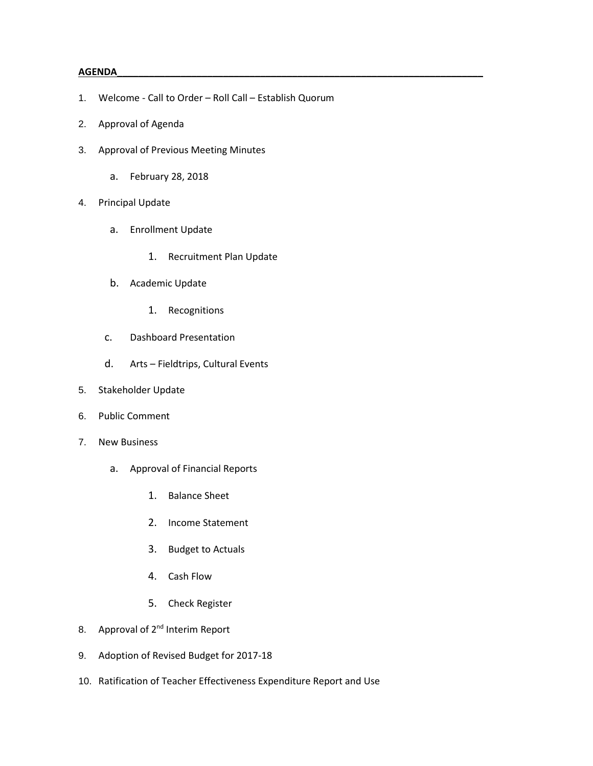## **AGENDA\_\_\_\_\_\_\_\_\_\_\_\_\_\_\_\_\_\_\_\_\_\_\_\_\_\_\_\_\_\_\_\_\_\_\_\_\_\_\_\_\_\_\_\_\_\_\_\_\_\_\_\_\_\_\_\_\_\_\_\_\_\_\_\_\_\_\_\_\_**

- 1. Welcome Call to Order Roll Call Establish Quorum
- 2. Approval of Agenda
- 3. Approval of Previous Meeting Minutes
	- a. February 28, 2018
- 4. Principal Update
	- a. Enrollment Update
		- 1. Recruitment Plan Update
	- b. Academic Update
		- 1. Recognitions
	- c. Dashboard Presentation
	- d. Arts Fieldtrips, Cultural Events
- 5. Stakeholder Update
- 6. Public Comment
- 7. New Business
	- a. Approval of Financial Reports
		- 1. Balance Sheet
		- 2. Income Statement
		- 3. Budget to Actuals
		- 4. Cash Flow
		- 5. Check Register
- 8. Approval of 2<sup>nd</sup> Interim Report
- 9. Adoption of Revised Budget for 2017-18
- 10. Ratification of Teacher Effectiveness Expenditure Report and Use